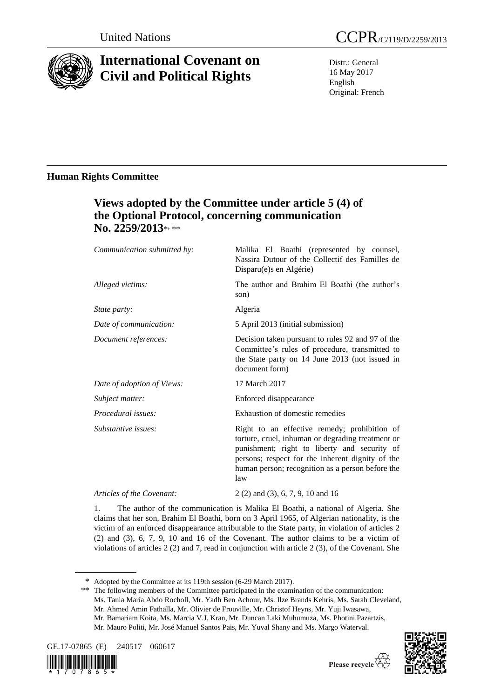

# **International Covenant on Civil and Political Rights**

Distr.: General 16 May 2017 English Original: French

# **Human Rights Committee**

# **Views adopted by the Committee under article 5 (4) of the Optional Protocol, concerning communication**  No. 2259/2013\*<sub>\*\*\*</sub>

| Communication submitted by: | Malika El Boathi (represented by counsel,<br>Nassira Dutour of the Collectif des Familles de<br>Disparu(e)s en Algérie)                                                                                                                                          |
|-----------------------------|------------------------------------------------------------------------------------------------------------------------------------------------------------------------------------------------------------------------------------------------------------------|
| Alleged victims:            | The author and Brahim El Boathi (the author's<br>son)                                                                                                                                                                                                            |
| State party:                | Algeria                                                                                                                                                                                                                                                          |
| Date of communication:      | 5 April 2013 (initial submission)                                                                                                                                                                                                                                |
| Document references:        | Decision taken pursuant to rules 92 and 97 of the<br>Committee's rules of procedure, transmitted to<br>the State party on 14 June 2013 (not issued in<br>document form)                                                                                          |
| Date of adoption of Views:  | 17 March 2017                                                                                                                                                                                                                                                    |
| Subject matter:             | Enforced disappearance                                                                                                                                                                                                                                           |
| Procedural issues:          | Exhaustion of domestic remedies                                                                                                                                                                                                                                  |
| Substantive issues:         | Right to an effective remedy; prohibition of<br>torture, cruel, inhuman or degrading treatment or<br>punishment; right to liberty and security of<br>persons; respect for the inherent dignity of the<br>human person; recognition as a person before the<br>law |
| Articles of the Covenant:   | $2(2)$ and $(3)$ , 6, 7, 9, 10 and 16                                                                                                                                                                                                                            |

1. The author of the communication is Malika El Boathi, a national of Algeria. She claims that her son, Brahim El Boathi, born on 3 April 1965, of Algerian nationality, is the victim of an enforced disappearance attributable to the State party, in violation of articles 2 (2) and (3), 6, 7, 9, 10 and 16 of the Covenant. The author claims to be a victim of violations of articles 2 (2) and 7, read in conjunction with article 2 (3), of the Covenant. She

\*\* The following members of the Committee participated in the examination of the communication: Ms. Tania María Abdo Rocholl, Mr. Yadh Ben Achour, Ms. Ilze Brands Kehris, Ms. Sarah Cleveland, Mr. Ahmed Amin Fathalla, Mr. Olivier de Frouville, Mr. Christof Heyns, Mr. Yuji Iwasawa, Mr. Bamariam Koita, Ms. Marcia V.J. Kran, Mr. Duncan Laki Muhumuza, Ms. Photini Pazartzis, Mr. Mauro Politi, Mr. José Manuel Santos Pais, Mr. Yuval Shany and Ms. Margo Waterval.









<sup>\*</sup> Adopted by the Committee at its 119th session (6-29 March 2017).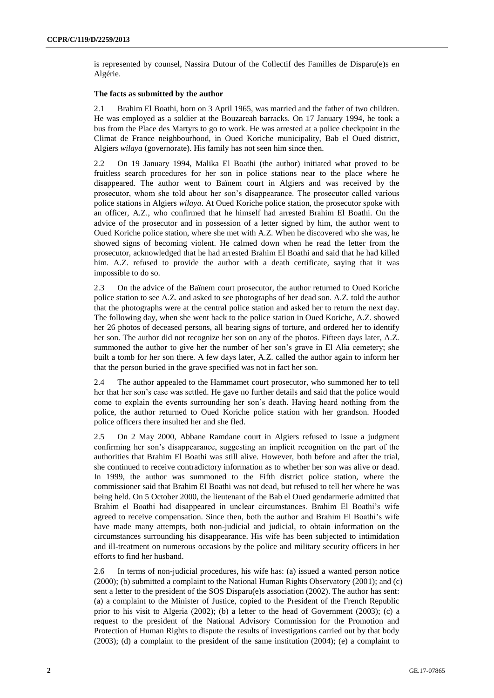is represented by counsel, Nassira Dutour of the Collectif des Familles de Disparu(e)s en Algérie.

#### **The facts as submitted by the author**

2.1 Brahim El Boathi, born on 3 April 1965, was married and the father of two children. He was employed as a soldier at the Bouzareah barracks. On 17 January 1994, he took a bus from the Place des Martyrs to go to work. He was arrested at a police checkpoint in the Climat de France neighbourhood, in Oued Koriche municipality, Bab el Oued district, Algiers *wilaya* (governorate). His family has not seen him since then.

2.2 On 19 January 1994, Malika El Boathi (the author) initiated what proved to be fruitless search procedures for her son in police stations near to the place where he disappeared. The author went to Baïnem court in Algiers and was received by the prosecutor, whom she told about her son's disappearance. The prosecutor called various police stations in Algiers *wilaya*. At Oued Koriche police station, the prosecutor spoke with an officer, A.Z., who confirmed that he himself had arrested Brahim El Boathi. On the advice of the prosecutor and in possession of a letter signed by him, the author went to Oued Koriche police station, where she met with A.Z. When he discovered who she was, he showed signs of becoming violent. He calmed down when he read the letter from the prosecutor, acknowledged that he had arrested Brahim El Boathi and said that he had killed him. A.Z. refused to provide the author with a death certificate, saying that it was impossible to do so.

2.3 On the advice of the Baïnem court prosecutor, the author returned to Oued Koriche police station to see A.Z. and asked to see photographs of her dead son. A.Z. told the author that the photographs were at the central police station and asked her to return the next day. The following day, when she went back to the police station in Oued Koriche, A.Z. showed her 26 photos of deceased persons, all bearing signs of torture, and ordered her to identify her son. The author did not recognize her son on any of the photos. Fifteen days later, A.Z. summoned the author to give her the number of her son's grave in El Alia cemetery; she built a tomb for her son there. A few days later, A.Z. called the author again to inform her that the person buried in the grave specified was not in fact her son.

2.4 The author appealed to the Hammamet court prosecutor, who summoned her to tell her that her son's case was settled. He gave no further details and said that the police would come to explain the events surrounding her son's death. Having heard nothing from the police, the author returned to Oued Koriche police station with her grandson. Hooded police officers there insulted her and she fled.

2.5 On 2 May 2000, Abbane Ramdane court in Algiers refused to issue a judgment confirming her son's disappearance, suggesting an implicit recognition on the part of the authorities that Brahim El Boathi was still alive. However, both before and after the trial, she continued to receive contradictory information as to whether her son was alive or dead. In 1999, the author was summoned to the Fifth district police station, where the commissioner said that Brahim El Boathi was not dead, but refused to tell her where he was being held. On 5 October 2000, the lieutenant of the Bab el Oued gendarmerie admitted that Brahim el Boathi had disappeared in unclear circumstances. Brahim El Boathi's wife agreed to receive compensation. Since then, both the author and Brahim El Boathi's wife have made many attempts, both non-judicial and judicial, to obtain information on the circumstances surrounding his disappearance. His wife has been subjected to intimidation and ill-treatment on numerous occasions by the police and military security officers in her efforts to find her husband.

2.6 In terms of non-judicial procedures, his wife has: (a) issued a wanted person notice (2000); (b) submitted a complaint to the National Human Rights Observatory (2001); and (c) sent a letter to the president of the SOS Disparu(e)s association (2002). The author has sent: (a) a complaint to the Minister of Justice, copied to the President of the French Republic prior to his visit to Algeria (2002); (b) a letter to the head of Government (2003); (c) a request to the president of the National Advisory Commission for the Promotion and Protection of Human Rights to dispute the results of investigations carried out by that body (2003); (d) a complaint to the president of the same institution (2004); (e) a complaint to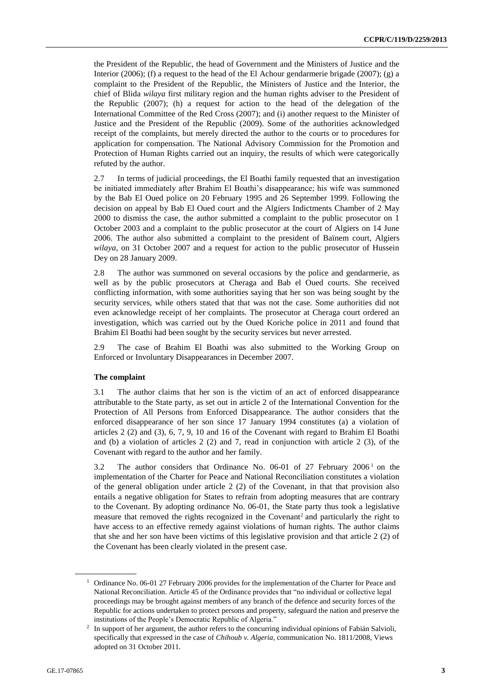the President of the Republic, the head of Government and the Ministers of Justice and the Interior (2006); (f) a request to the head of the El Achour gendarmerie brigade (2007); (g) a complaint to the President of the Republic, the Ministers of Justice and the Interior, the chief of Blida *wilaya* first military region and the human rights adviser to the President of the Republic (2007); (h) a request for action to the head of the delegation of the International Committee of the Red Cross (2007); and (i) another request to the Minister of Justice and the President of the Republic (2009). Some of the authorities acknowledged receipt of the complaints, but merely directed the author to the courts or to procedures for application for compensation. The National Advisory Commission for the Promotion and Protection of Human Rights carried out an inquiry, the results of which were categorically refuted by the author.

2.7 In terms of judicial proceedings, the El Boathi family requested that an investigation be initiated immediately after Brahim El Boathi's disappearance; his wife was summoned by the Bab El Oued police on 20 February 1995 and 26 September 1999. Following the decision on appeal by Bab El Oued court and the Algiers Indictments Chamber of 2 May 2000 to dismiss the case, the author submitted a complaint to the public prosecutor on 1 October 2003 and a complaint to the public prosecutor at the court of Algiers on 14 June 2006. The author also submitted a complaint to the president of Baïnem court, Algiers *wilaya*, on 31 October 2007 and a request for action to the public prosecutor of Hussein Dey on 28 January 2009.

2.8 The author was summoned on several occasions by the police and gendarmerie, as well as by the public prosecutors at Cheraga and Bab el Oued courts. She received conflicting information, with some authorities saying that her son was being sought by the security services, while others stated that that was not the case. Some authorities did not even acknowledge receipt of her complaints. The prosecutor at Cheraga court ordered an investigation, which was carried out by the Oued Koriche police in 2011 and found that Brahim El Boathi had been sought by the security services but never arrested.

2.9 The case of Brahim El Boathi was also submitted to the Working Group on Enforced or Involuntary Disappearances in December 2007.

## **The complaint**

3.1 The author claims that her son is the victim of an act of enforced disappearance attributable to the State party, as set out in article 2 of the International Convention for the Protection of All Persons from Enforced Disappearance. The author considers that the enforced disappearance of her son since 17 January 1994 constitutes (a) a violation of articles 2 (2) and (3), 6, 7, 9, 10 and 16 of the Covenant with regard to Brahim El Boathi and (b) a violation of articles  $2(2)$  and 7, read in conjunction with article  $2(3)$ , of the Covenant with regard to the author and her family.

3.2 The author considers that Ordinance No. 06-01 of 27 February 2006 <sup>1</sup> on the implementation of the Charter for Peace and National Reconciliation constitutes a violation of the general obligation under article 2 (2) of the Covenant, in that that provision also entails a negative obligation for States to refrain from adopting measures that are contrary to the Covenant. By adopting ordinance No. 06-01, the State party thus took a legislative measure that removed the rights recognized in the Covenant<sup>2</sup> and particularly the right to have access to an effective remedy against violations of human rights. The author claims that she and her son have been victims of this legislative provision and that article 2 (2) of the Covenant has been clearly violated in the present case.

<sup>&</sup>lt;sup>1</sup> Ordinance No. 06-01 27 February 2006 provides for the implementation of the Charter for Peace and National Reconciliation. Article 45 of the Ordinance provides that "no individual or collective legal proceedings may be brought against members of any branch of the defence and security forces of the Republic for actions undertaken to protect persons and property, safeguard the nation and preserve the institutions of the People's Democratic Republic of Algeria."

<sup>2</sup> In support of her argument, the author refers to the concurring individual opinions of Fabián Salvioli, specifically that expressed in the case of *Chihoub v. Algeria*, communication No. 1811/2008, Views adopted on 31 October 2011.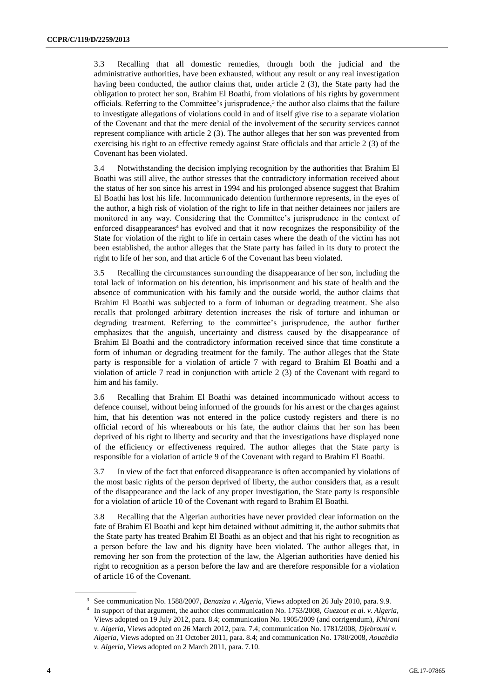3.3 Recalling that all domestic remedies, through both the judicial and the administrative authorities, have been exhausted, without any result or any real investigation having been conducted, the author claims that, under article 2 (3), the State party had the obligation to protect her son, Brahim El Boathi, from violations of his rights by government officials. Referring to the Committee's jurisprudence, $3$  the author also claims that the failure to investigate allegations of violations could in and of itself give rise to a separate violation of the Covenant and that the mere denial of the involvement of the security services cannot represent compliance with article 2 (3). The author alleges that her son was prevented from exercising his right to an effective remedy against State officials and that article 2 (3) of the Covenant has been violated.

3.4 Notwithstanding the decision implying recognition by the authorities that Brahim El Boathi was still alive, the author stresses that the contradictory information received about the status of her son since his arrest in 1994 and his prolonged absence suggest that Brahim El Boathi has lost his life. Incommunicado detention furthermore represents, in the eyes of the author, a high risk of violation of the right to life in that neither detainees nor jailers are monitored in any way. Considering that the Committee's jurisprudence in the context of enforced disappearances<sup>4</sup> has evolved and that it now recognizes the responsibility of the State for violation of the right to life in certain cases where the death of the victim has not been established, the author alleges that the State party has failed in its duty to protect the right to life of her son, and that article 6 of the Covenant has been violated.

3.5 Recalling the circumstances surrounding the disappearance of her son, including the total lack of information on his detention, his imprisonment and his state of health and the absence of communication with his family and the outside world, the author claims that Brahim El Boathi was subjected to a form of inhuman or degrading treatment. She also recalls that prolonged arbitrary detention increases the risk of torture and inhuman or degrading treatment. Referring to the committee's jurisprudence, the author further emphasizes that the anguish, uncertainty and distress caused by the disappearance of Brahim El Boathi and the contradictory information received since that time constitute a form of inhuman or degrading treatment for the family. The author alleges that the State party is responsible for a violation of article 7 with regard to Brahim El Boathi and a violation of article 7 read in conjunction with article 2 (3) of the Covenant with regard to him and his family.

3.6 Recalling that Brahim El Boathi was detained incommunicado without access to defence counsel, without being informed of the grounds for his arrest or the charges against him, that his detention was not entered in the police custody registers and there is no official record of his whereabouts or his fate, the author claims that her son has been deprived of his right to liberty and security and that the investigations have displayed none of the efficiency or effectiveness required. The author alleges that the State party is responsible for a violation of article 9 of the Covenant with regard to Brahim El Boathi.

3.7 In view of the fact that enforced disappearance is often accompanied by violations of the most basic rights of the person deprived of liberty, the author considers that, as a result of the disappearance and the lack of any proper investigation, the State party is responsible for a violation of article 10 of the Covenant with regard to Brahim El Boathi.

3.8 Recalling that the Algerian authorities have never provided clear information on the fate of Brahim El Boathi and kept him detained without admitting it, the author submits that the State party has treated Brahim El Boathi as an object and that his right to recognition as a person before the law and his dignity have been violated. The author alleges that, in removing her son from the protection of the law, the Algerian authorities have denied his right to recognition as a person before the law and are therefore responsible for a violation of article 16 of the Covenant.

<sup>3</sup> See communication No. 1588/2007, *Benaziza v. Algeria*, Views adopted on 26 July 2010, para. 9.9.

<sup>4</sup> In support of that argument, the author cites communication No. 1753/2008, *Guezout et al. v. Algeria*, Views adopted on 19 July 2012, para. 8.4; communication No. 1905/2009 (and corrigendum), *Khirani v. Algeria*, Views adopted on 26 March 2012, para. 7.4; communication No. 1781/2008, *Djebrouni v. Algeria*, Views adopted on 31 October 2011, para. 8.4; and communication No. 1780/2008, *Aouabdia v. Algeria*, Views adopted on 2 March 2011, para. 7.10.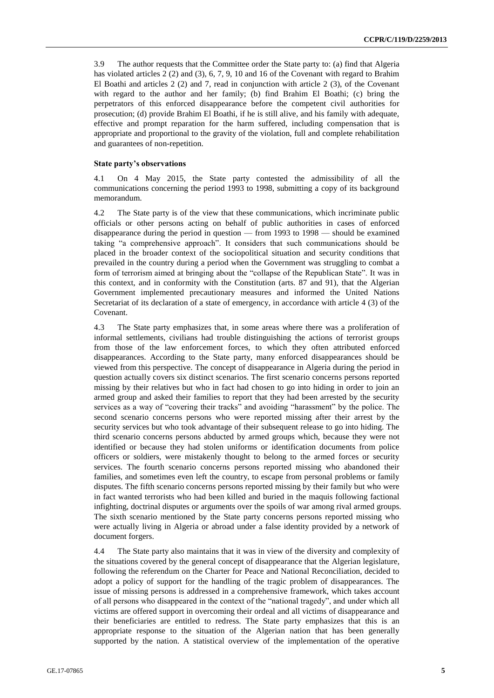3.9 The author requests that the Committee order the State party to: (a) find that Algeria has violated articles 2 (2) and (3), 6, 7, 9, 10 and 16 of the Covenant with regard to Brahim El Boathi and articles 2 (2) and 7, read in conjunction with article 2 (3), of the Covenant with regard to the author and her family; (b) find Brahim El Boathi; (c) bring the perpetrators of this enforced disappearance before the competent civil authorities for prosecution; (d) provide Brahim El Boathi, if he is still alive, and his family with adequate, effective and prompt reparation for the harm suffered, including compensation that is appropriate and proportional to the gravity of the violation, full and complete rehabilitation and guarantees of non-repetition.

### **State party's observations**

4.1 On 4 May 2015, the State party contested the admissibility of all the communications concerning the period 1993 to 1998, submitting a copy of its background memorandum.

4.2 The State party is of the view that these communications, which incriminate public officials or other persons acting on behalf of public authorities in cases of enforced disappearance during the period in question — from 1993 to 1998 — should be examined taking "a comprehensive approach". It considers that such communications should be placed in the broader context of the sociopolitical situation and security conditions that prevailed in the country during a period when the Government was struggling to combat a form of terrorism aimed at bringing about the "collapse of the Republican State". It was in this context, and in conformity with the Constitution (arts. 87 and 91), that the Algerian Government implemented precautionary measures and informed the United Nations Secretariat of its declaration of a state of emergency, in accordance with article 4 (3) of the Covenant.

4.3 The State party emphasizes that, in some areas where there was a proliferation of informal settlements, civilians had trouble distinguishing the actions of terrorist groups from those of the law enforcement forces, to which they often attributed enforced disappearances. According to the State party, many enforced disappearances should be viewed from this perspective. The concept of disappearance in Algeria during the period in question actually covers six distinct scenarios. The first scenario concerns persons reported missing by their relatives but who in fact had chosen to go into hiding in order to join an armed group and asked their families to report that they had been arrested by the security services as a way of "covering their tracks" and avoiding "harassment" by the police. The second scenario concerns persons who were reported missing after their arrest by the security services but who took advantage of their subsequent release to go into hiding. The third scenario concerns persons abducted by armed groups which, because they were not identified or because they had stolen uniforms or identification documents from police officers or soldiers, were mistakenly thought to belong to the armed forces or security services. The fourth scenario concerns persons reported missing who abandoned their families, and sometimes even left the country, to escape from personal problems or family disputes. The fifth scenario concerns persons reported missing by their family but who were in fact wanted terrorists who had been killed and buried in the maquis following factional infighting, doctrinal disputes or arguments over the spoils of war among rival armed groups. The sixth scenario mentioned by the State party concerns persons reported missing who were actually living in Algeria or abroad under a false identity provided by a network of document forgers.

4.4 The State party also maintains that it was in view of the diversity and complexity of the situations covered by the general concept of disappearance that the Algerian legislature, following the referendum on the Charter for Peace and National Reconciliation, decided to adopt a policy of support for the handling of the tragic problem of disappearances. The issue of missing persons is addressed in a comprehensive framework, which takes account of all persons who disappeared in the context of the "national tragedy", and under which all victims are offered support in overcoming their ordeal and all victims of disappearance and their beneficiaries are entitled to redress. The State party emphasizes that this is an appropriate response to the situation of the Algerian nation that has been generally supported by the nation. A statistical overview of the implementation of the operative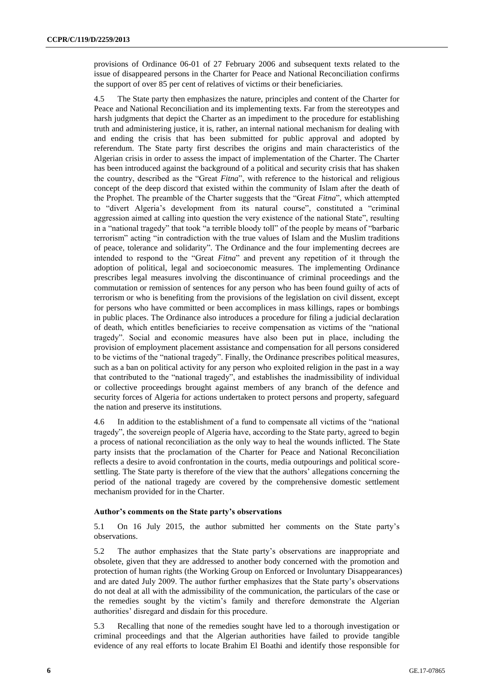provisions of Ordinance 06-01 of 27 February 2006 and subsequent texts related to the issue of disappeared persons in the Charter for Peace and National Reconciliation confirms the support of over 85 per cent of relatives of victims or their beneficiaries.

4.5 The State party then emphasizes the nature, principles and content of the Charter for Peace and National Reconciliation and its implementing texts. Far from the stereotypes and harsh judgments that depict the Charter as an impediment to the procedure for establishing truth and administering justice, it is, rather, an internal national mechanism for dealing with and ending the crisis that has been submitted for public approval and adopted by referendum. The State party first describes the origins and main characteristics of the Algerian crisis in order to assess the impact of implementation of the Charter. The Charter has been introduced against the background of a political and security crisis that has shaken the country, described as the "Great *Fitna*", with reference to the historical and religious concept of the deep discord that existed within the community of Islam after the death of the Prophet. The preamble of the Charter suggests that the "Great *Fitna*", which attempted to "divert Algeria's development from its natural course", constituted a "criminal aggression aimed at calling into question the very existence of the national State", resulting in a "national tragedy" that took "a terrible bloody toll" of the people by means of "barbaric terrorism" acting "in contradiction with the true values of Islam and the Muslim traditions of peace, tolerance and solidarity". The Ordinance and the four implementing decrees are intended to respond to the "Great *Fitna*" and prevent any repetition of it through the adoption of political, legal and socioeconomic measures. The implementing Ordinance prescribes legal measures involving the discontinuance of criminal proceedings and the commutation or remission of sentences for any person who has been found guilty of acts of terrorism or who is benefiting from the provisions of the legislation on civil dissent, except for persons who have committed or been accomplices in mass killings, rapes or bombings in public places. The Ordinance also introduces a procedure for filing a judicial declaration of death, which entitles beneficiaries to receive compensation as victims of the "national tragedy". Social and economic measures have also been put in place, including the provision of employment placement assistance and compensation for all persons considered to be victims of the "national tragedy". Finally, the Ordinance prescribes political measures, such as a ban on political activity for any person who exploited religion in the past in a way that contributed to the "national tragedy", and establishes the inadmissibility of individual or collective proceedings brought against members of any branch of the defence and security forces of Algeria for actions undertaken to protect persons and property, safeguard the nation and preserve its institutions.

4.6 In addition to the establishment of a fund to compensate all victims of the "national tragedy", the sovereign people of Algeria have, according to the State party, agreed to begin a process of national reconciliation as the only way to heal the wounds inflicted. The State party insists that the proclamation of the Charter for Peace and National Reconciliation reflects a desire to avoid confrontation in the courts, media outpourings and political scoresettling. The State party is therefore of the view that the authors' allegations concerning the period of the national tragedy are covered by the comprehensive domestic settlement mechanism provided for in the Charter.

### **Author's comments on the State party's observations**

5.1 On 16 July 2015, the author submitted her comments on the State party's observations.

5.2 The author emphasizes that the State party's observations are inappropriate and obsolete, given that they are addressed to another body concerned with the promotion and protection of human rights (the Working Group on Enforced or Involuntary Disappearances) and are dated July 2009. The author further emphasizes that the State party's observations do not deal at all with the admissibility of the communication, the particulars of the case or the remedies sought by the victim's family and therefore demonstrate the Algerian authorities' disregard and disdain for this procedure.

5.3 Recalling that none of the remedies sought have led to a thorough investigation or criminal proceedings and that the Algerian authorities have failed to provide tangible evidence of any real efforts to locate Brahim El Boathi and identify those responsible for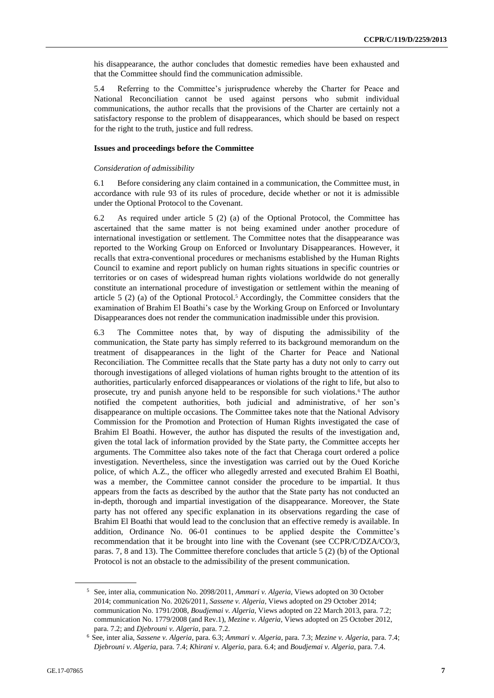his disappearance, the author concludes that domestic remedies have been exhausted and that the Committee should find the communication admissible.

5.4 Referring to the Committee's jurisprudence whereby the Charter for Peace and National Reconciliation cannot be used against persons who submit individual communications, the author recalls that the provisions of the Charter are certainly not a satisfactory response to the problem of disappearances, which should be based on respect for the right to the truth, justice and full redress.

#### **Issues and proceedings before the Committee**

#### *Consideration of admissibility*

6.1 Before considering any claim contained in a communication, the Committee must, in accordance with rule 93 of its rules of procedure, decide whether or not it is admissible under the Optional Protocol to the Covenant.

6.2 As required under article 5 (2) (a) of the Optional Protocol, the Committee has ascertained that the same matter is not being examined under another procedure of international investigation or settlement. The Committee notes that the disappearance was reported to the Working Group on Enforced or Involuntary Disappearances. However, it recalls that extra-conventional procedures or mechanisms established by the Human Rights Council to examine and report publicly on human rights situations in specific countries or territories or on cases of widespread human rights violations worldwide do not generally constitute an international procedure of investigation or settlement within the meaning of article 5 (2) (a) of the Optional Protocol.<sup>5</sup> Accordingly, the Committee considers that the examination of Brahim El Boathi's case by the Working Group on Enforced or Involuntary Disappearances does not render the communication inadmissible under this provision.

6.3 The Committee notes that, by way of disputing the admissibility of the communication, the State party has simply referred to its background memorandum on the treatment of disappearances in the light of the Charter for Peace and National Reconciliation. The Committee recalls that the State party has a duty not only to carry out thorough investigations of alleged violations of human rights brought to the attention of its authorities, particularly enforced disappearances or violations of the right to life, but also to prosecute, try and punish anyone held to be responsible for such violations.<sup>6</sup> The author notified the competent authorities, both judicial and administrative, of her son's disappearance on multiple occasions. The Committee takes note that the National Advisory Commission for the Promotion and Protection of Human Rights investigated the case of Brahim El Boathi. However, the author has disputed the results of the investigation and, given the total lack of information provided by the State party, the Committee accepts her arguments. The Committee also takes note of the fact that Cheraga court ordered a police investigation. Nevertheless, since the investigation was carried out by the Oued Koriche police, of which A.Z., the officer who allegedly arrested and executed Brahim El Boathi, was a member, the Committee cannot consider the procedure to be impartial. It thus appears from the facts as described by the author that the State party has not conducted an in-depth, thorough and impartial investigation of the disappearance. Moreover, the State party has not offered any specific explanation in its observations regarding the case of Brahim El Boathi that would lead to the conclusion that an effective remedy is available. In addition, Ordinance No. 06-01 continues to be applied despite the Committee's recommendation that it be brought into line with the Covenant (see CCPR/C/DZA/CO/3, paras. 7, 8 and 13). The Committee therefore concludes that article 5 (2) (b) of the Optional Protocol is not an obstacle to the admissibility of the present communication.

<sup>5</sup> See, inter alia, communication No. 2098/2011, *Ammari v. Algeria*, Views adopted on 30 October 2014; communication No. 2026/2011, *Sassene v. Algeria*, Views adopted on 29 October 2014; communication No. 1791/2008, *Boudjemai v. Algeria*, Views adopted on 22 March 2013, para. 7.2; communication No. 1779/2008 (and Rev.1), *Mezine v. Algeria*, Views adopted on 25 October 2012, para. 7.2; and *Djebrouni v. Algeria*, para. 7.2.

<sup>6</sup> See, inter alia, *Sassene v. Algeria*, para. 6.3; *Ammari v. Algeria*, para. 7.3; *Mezine v. Algeria*, para. 7.4; *Djebrouni v. Algeria*, para. 7.4; *Khirani v. Algeria*, para. 6.4; and *Boudjemai v. Algeria*, para. 7.4.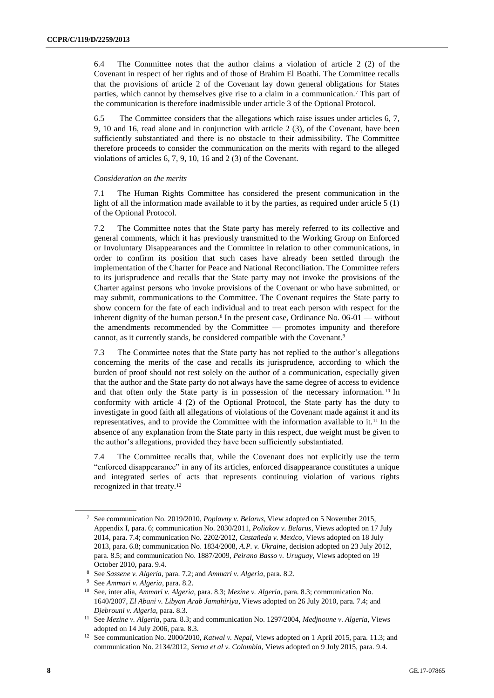6.4 The Committee notes that the author claims a violation of article 2 (2) of the Covenant in respect of her rights and of those of Brahim El Boathi. The Committee recalls that the provisions of article 2 of the Covenant lay down general obligations for States parties, which cannot by themselves give rise to a claim in a communication.<sup>7</sup> This part of the communication is therefore inadmissible under article 3 of the Optional Protocol.

6.5 The Committee considers that the allegations which raise issues under articles 6, 7, 9, 10 and 16, read alone and in conjunction with article 2 (3), of the Covenant, have been sufficiently substantiated and there is no obstacle to their admissibility. The Committee therefore proceeds to consider the communication on the merits with regard to the alleged violations of articles 6, 7, 9, 10, 16 and 2 (3) of the Covenant.

### *Consideration on the merits*

7.1 The Human Rights Committee has considered the present communication in the light of all the information made available to it by the parties, as required under article 5 (1) of the Optional Protocol.

7.2 The Committee notes that the State party has merely referred to its collective and general comments, which it has previously transmitted to the Working Group on Enforced or Involuntary Disappearances and the Committee in relation to other communications, in order to confirm its position that such cases have already been settled through the implementation of the Charter for Peace and National Reconciliation. The Committee refers to its jurisprudence and recalls that the State party may not invoke the provisions of the Charter against persons who invoke provisions of the Covenant or who have submitted, or may submit, communications to the Committee. The Covenant requires the State party to show concern for the fate of each individual and to treat each person with respect for the inherent dignity of the human person.<sup>8</sup> In the present case, Ordinance No.  $06-01$  — without the amendments recommended by the Committee — promotes impunity and therefore cannot, as it currently stands, be considered compatible with the Covenant.<sup>9</sup>

7.3 The Committee notes that the State party has not replied to the author's allegations concerning the merits of the case and recalls its jurisprudence, according to which the burden of proof should not rest solely on the author of a communication, especially given that the author and the State party do not always have the same degree of access to evidence and that often only the State party is in possession of the necessary information. <sup>10</sup> In conformity with article 4 (2) of the Optional Protocol, the State party has the duty to investigate in good faith all allegations of violations of the Covenant made against it and its representatives, and to provide the Committee with the information available to it.<sup>11</sup> In the absence of any explanation from the State party in this respect, due weight must be given to the author's allegations, provided they have been sufficiently substantiated.

7.4 The Committee recalls that, while the Covenant does not explicitly use the term "enforced disappearance" in any of its articles, enforced disappearance constitutes a unique and integrated series of acts that represents continuing violation of various rights recognized in that treaty.<sup>12</sup>

<sup>7</sup> See communication No. 2019/2010, *Poplavny v. Belarus*, View adopted on 5 November 2015, Appendix I, para. 6; communication No. 2030/2011, *Poliakov v. Belarus*, Views adopted on 17 July 2014, para. 7.4; communication No. 2202/2012, *Castañeda v. Mexico*, Views adopted on 18 July 2013, para. 6.8; communication No. 1834/2008, *A.P. v. Ukraine*, decision adopted on 23 July 2012, para. 8.5; and communication No. 1887/2009, *Peirano Basso v. Uruguay*, Views adopted on 19 October 2010, para. 9.4.

<sup>8</sup> See *Sassene v. Algeria*, para. 7.2; and *Ammari v. Algeria*, para. 8.2.

<sup>9</sup> See *Ammari v. Algeria*, para. 8.2.

<sup>10</sup> See, inter alia, *Ammari v. Algeria*, para. 8.3; *Mezine v. Algeria*, para. 8.3; communication No. 1640/2007, *El Abani v. Libyan Arab Jamahiriya*, Views adopted on 26 July 2010, para. 7.4; and *Djebrouni v. Algeria*, para. 8.3.

<sup>11</sup> See *Mezine v. Algeria*, para. 8.3; and communication No. 1297/2004, *Medjnoune v. Algeria*, Views adopted on 14 July 2006, para. 8.3.

<sup>12</sup> See communication No. 2000/2010, *Katwal v. Nepal*, Views adopted on 1 April 2015, para. 11.3; and communication No. 2134/2012, *Serna et al v. Colombia*, Views adopted on 9 July 2015, para. 9.4.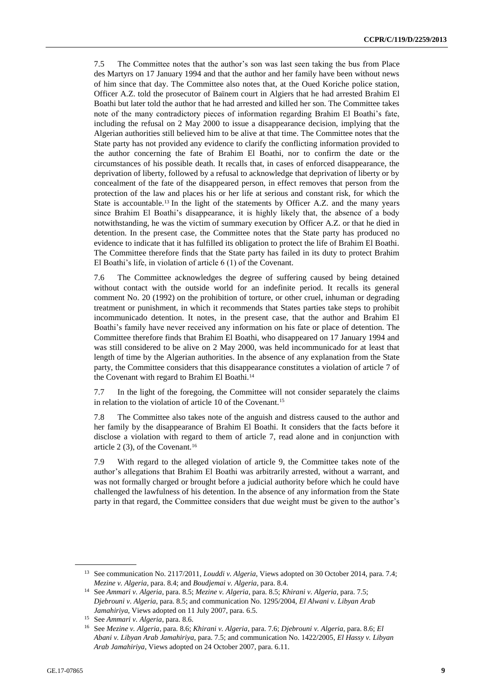7.5 The Committee notes that the author's son was last seen taking the bus from Place des Martyrs on 17 January 1994 and that the author and her family have been without news of him since that day. The Committee also notes that, at the Oued Koriche police station, Officer A.Z. told the prosecutor of Baïnem court in Algiers that he had arrested Brahim El Boathi but later told the author that he had arrested and killed her son. The Committee takes note of the many contradictory pieces of information regarding Brahim El Boathi's fate, including the refusal on 2 May 2000 to issue a disappearance decision, implying that the Algerian authorities still believed him to be alive at that time. The Committee notes that the State party has not provided any evidence to clarify the conflicting information provided to the author concerning the fate of Brahim El Boathi, nor to confirm the date or the circumstances of his possible death. It recalls that, in cases of enforced disappearance, the deprivation of liberty, followed by a refusal to acknowledge that deprivation of liberty or by concealment of the fate of the disappeared person, in effect removes that person from the protection of the law and places his or her life at serious and constant risk, for which the State is accountable.<sup>13</sup> In the light of the statements by Officer A.Z. and the many years since Brahim El Boathi's disappearance, it is highly likely that, the absence of a body notwithstanding, he was the victim of summary execution by Officer A.Z. or that he died in detention. In the present case, the Committee notes that the State party has produced no evidence to indicate that it has fulfilled its obligation to protect the life of Brahim El Boathi. The Committee therefore finds that the State party has failed in its duty to protect Brahim El Boathi's life, in violation of article 6 (1) of the Covenant.

7.6 The Committee acknowledges the degree of suffering caused by being detained without contact with the outside world for an indefinite period. It recalls its general comment No. 20 (1992) on the prohibition of torture, or other cruel, inhuman or degrading treatment or punishment, in which it recommends that States parties take steps to prohibit incommunicado detention. It notes, in the present case, that the author and Brahim El Boathi's family have never received any information on his fate or place of detention. The Committee therefore finds that Brahim El Boathi, who disappeared on 17 January 1994 and was still considered to be alive on 2 May 2000, was held incommunicado for at least that length of time by the Algerian authorities. In the absence of any explanation from the State party, the Committee considers that this disappearance constitutes a violation of article 7 of the Covenant with regard to Brahim El Boathi.<sup>14</sup>

7.7 In the light of the foregoing, the Committee will not consider separately the claims in relation to the violation of article 10 of the Covenant.<sup>15</sup>

7.8 The Committee also takes note of the anguish and distress caused to the author and her family by the disappearance of Brahim El Boathi. It considers that the facts before it disclose a violation with regard to them of article 7, read alone and in conjunction with article 2  $(3)$ , of the Covenant.<sup>16</sup>

7.9 With regard to the alleged violation of article 9, the Committee takes note of the author's allegations that Brahim El Boathi was arbitrarily arrested, without a warrant, and was not formally charged or brought before a judicial authority before which he could have challenged the lawfulness of his detention. In the absence of any information from the State party in that regard, the Committee considers that due weight must be given to the author's

<sup>13</sup> See communication No. 2117/2011, *Louddi v. Algeria*, Views adopted on 30 October 2014, para. 7.4; *Mezine v. Algeria*, para. 8.4; and *Boudjemai v. Algeria*, para. 8.4.

<sup>14</sup> See *Ammari v. Algeria*, para. 8.5; *Mezine v. Algeria*, para. 8.5; *Khirani v. Algeria*, para. 7.5; *Djebrouni v. Algeria*, para. 8.5; and communication No. 1295/2004, *El Alwani v. Libyan Arab Jamahiriya*, Views adopted on 11 July 2007, para. 6.5.

<sup>15</sup> See *Ammari v. Algeria*, para. 8.6.

<sup>16</sup> See *Mezine v. Algeria*, para. 8.6; *Khirani v. Algeria*, para. 7.6; *Djebrouni v. Algeria*, para. 8.6; *El Abani v. Libyan Arab Jamahiriya*, para. 7.5; and communication No. 1422/2005, *El Hassy v. Libyan Arab Jamahiriya*, Views adopted on 24 October 2007, para. 6.11.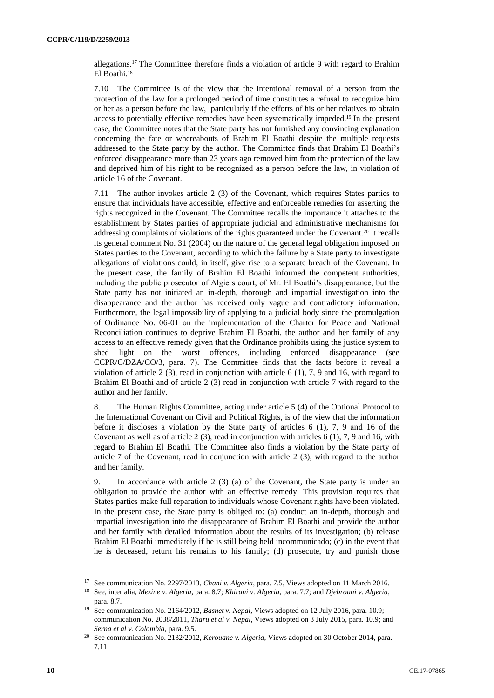allegations.<sup>17</sup> The Committee therefore finds a violation of article 9 with regard to Brahim El Boathi.<sup>18</sup>

7.10 The Committee is of the view that the intentional removal of a person from the protection of the law for a prolonged period of time constitutes a refusal to recognize him or her as a person before the law, particularly if the efforts of his or her relatives to obtain access to potentially effective remedies have been systematically impeded.<sup>19</sup> In the present case, the Committee notes that the State party has not furnished any convincing explanation concerning the fate or whereabouts of Brahim El Boathi despite the multiple requests addressed to the State party by the author. The Committee finds that Brahim El Boathi's enforced disappearance more than 23 years ago removed him from the protection of the law and deprived him of his right to be recognized as a person before the law, in violation of article 16 of the Covenant.

7.11 The author invokes article 2 (3) of the Covenant, which requires States parties to ensure that individuals have accessible, effective and enforceable remedies for asserting the rights recognized in the Covenant. The Committee recalls the importance it attaches to the establishment by States parties of appropriate judicial and administrative mechanisms for addressing complaints of violations of the rights guaranteed under the Covenant.<sup>20</sup> It recalls its general comment No. 31 (2004) on the nature of the general legal obligation imposed on States parties to the Covenant, according to which the failure by a State party to investigate allegations of violations could, in itself, give rise to a separate breach of the Covenant. In the present case, the family of Brahim El Boathi informed the competent authorities, including the public prosecutor of Algiers court, of Mr. El Boathi's disappearance, but the State party has not initiated an in-depth, thorough and impartial investigation into the disappearance and the author has received only vague and contradictory information. Furthermore, the legal impossibility of applying to a judicial body since the promulgation of Ordinance No. 06-01 on the implementation of the Charter for Peace and National Reconciliation continues to deprive Brahim El Boathi, the author and her family of any access to an effective remedy given that the Ordinance prohibits using the justice system to shed light on the worst offences, including enforced disappearance (see CCPR/C/DZA/CO/3, para. 7). The Committee finds that the facts before it reveal a violation of article 2 (3), read in conjunction with article 6 (1), 7, 9 and 16, with regard to Brahim El Boathi and of article 2 (3) read in conjunction with article 7 with regard to the author and her family.

8. The Human Rights Committee, acting under article 5 (4) of the Optional Protocol to the International Covenant on Civil and Political Rights, is of the view that the information before it discloses a violation by the State party of articles  $6(1)$ , 7, 9 and 16 of the Covenant as well as of article  $2(3)$ , read in conjunction with articles  $6(1)$ , 7, 9 and 16, with regard to Brahim El Boathi. The Committee also finds a violation by the State party of article 7 of the Covenant, read in conjunction with article 2 (3), with regard to the author and her family.

9. In accordance with article 2 (3) (a) of the Covenant, the State party is under an obligation to provide the author with an effective remedy. This provision requires that States parties make full reparation to individuals whose Covenant rights have been violated. In the present case, the State party is obliged to: (a) conduct an in-depth, thorough and impartial investigation into the disappearance of Brahim El Boathi and provide the author and her family with detailed information about the results of its investigation; (b) release Brahim El Boathi immediately if he is still being held incommunicado; (c) in the event that he is deceased, return his remains to his family; (d) prosecute, try and punish those

<sup>17</sup> See communication No. 2297/2013, *Chani v. Algeria*, para. 7.5, Views adopted on 11 March 2016.

<sup>18</sup> See, inter alia, *Mezine v. Algeria*, para. 8.7; *Khirani v. Algeria*, para. 7.7; and *Djebrouni v. Algeria*, para. 8.7.

<sup>&</sup>lt;sup>19</sup> See communication No. 2164/2012, *Basnet v. Nepal*, Views adopted on 12 July 2016, para. 10.9; communication No. 2038/2011, *Tharu et al v. Nepal*, Views adopted on 3 July 2015, para. 10.9; and *Serna et al v. Colombia*, para. 9.5.

<sup>20</sup> See communication No. 2132/2012, *Kerouane v. Algeria*, Views adopted on 30 October 2014, para. 7.11.